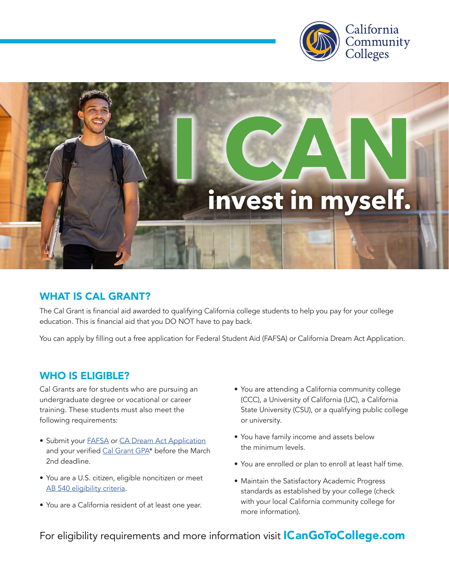



## WHAT IS CAL GRANT?

The Cal Grant is financial aid awarded to qualifying California college students to help you pay for your college education. This is financial aid that you DO NOT have to pay back.

You can apply by filling out a free application for Federal Student Aid (FAFSA) or California Dream Act Application.

## WHO IS ELIGIBLE?

Cal Grants are for students who are pursuing an undergraduate degree or vocational or career training. These students must also meet the following requirements:

- Submit your **[FAFSA](https://studentaid.gov/h/apply-for-aid/fafsa)** or [CA Dream Act Application](https://dream.csac.ca.gov/landing) and your verified [Cal Grant GPA\\*](https://www.csac.ca.gov/post/cal-grant-gpa-verification-form) before the March 2nd deadline.
- You are a U.S. citizen, eligible noncitizen or meet [AB 540 eligibility criteria.](https://www.csac.ca.gov/post/california-nonresident-tuition-exemption)
- You are a California resident of at least one year.
- You are attending a California community college (CCC), a University of California (UC), a California State University (CSU), or a qualifying public college or university.
- You have family income and assets below the minimum levels.
- You are enrolled or plan to enroll at least half time.
- Maintain the Satisfactory Academic Progress standards as established by your college (check with your local California community college for more information).

For eligibility requirements and more information visit **[ICanGoToCollege.com](http://ICanGoToCollege.com)**